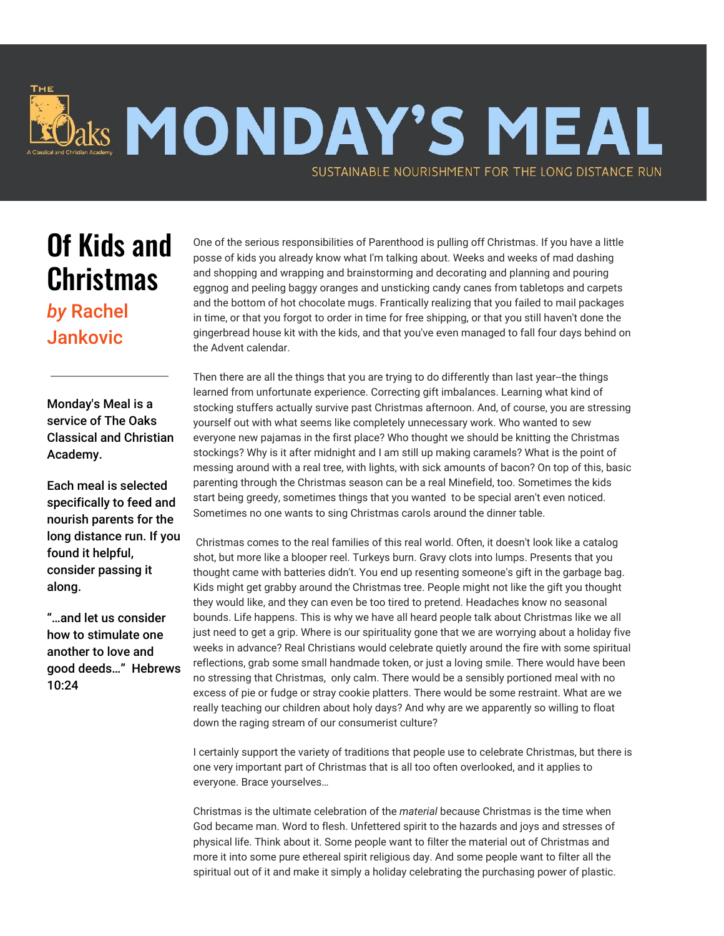## Jaks MONDAY'S MEAL SUSTAINABLE NOURISHMENT FOR THE LONG DISTANCE RUN

## Of Kids and **Christmas**

*by* Rachel **Jankovic** 

Monday's Meal is a service of The Oaks Classical and Christian Academy.

Each meal is selected specifically to feed and nourish parents for the long distance run. If you found it helpful, consider passing it along.

"…and let us consider how to stimulate one another to love and good deeds…" Hebrews 10:24

One of the serious responsibilities of Parenthood is pulling off Christmas. If you have a little posse of kids you already know what I'm talking about. Weeks and weeks of mad dashing and shopping and wrapping and brainstorming and decorating and planning and pouring eggnog and peeling baggy oranges and unsticking candy canes from tabletops and carpets and the bottom of hot chocolate mugs. Frantically realizing that you failed to mail packages in time, or that you forgot to order in time for free shipping, or that you still haven't done the gingerbread house kit with the kids, and that you've even managed to fall four days behind on the Advent calendar.

Then there are all the things that you are trying to do differently than last year--the things learned from unfortunate experience. Correcting gift imbalances. Learning what kind of stocking stuffers actually survive past Christmas afternoon. And, of course, you are stressing yourself out with what seems like completely unnecessary work. Who wanted to sew everyone new pajamas in the first place? Who thought we should be knitting the Christmas stockings? Why is it after midnight and I am still up making caramels? What is the point of messing around with a real tree, with lights, with sick amounts of bacon? On top of this, basic parenting through the Christmas season can be a real Minefield, too. Sometimes the kids start being greedy, sometimes things that you wanted to be special aren't even noticed. Sometimes no one wants to sing Christmas carols around the dinner table.

 Christmas comes to the real families of this real world. Often, it doesn't look like a catalog shot, but more like a blooper reel. Turkeys burn. Gravy clots into lumps. Presents that you thought came with batteries didn't. You end up resenting someone's gift in the garbage bag. Kids might get grabby around the Christmas tree. People might not like the gift you thought they would like, and they can even be too tired to pretend. Headaches know no seasonal bounds. Life happens. This is why we have all heard people talk about Christmas like we all just need to get a grip. Where is our spirituality gone that we are worrying about a holiday five weeks in advance? Real Christians would celebrate quietly around the fire with some spiritual reflections, grab some small handmade token, or just a loving smile. There would have been no stressing that Christmas, only calm. There would be a sensibly portioned meal with no excess of pie or fudge or stray cookie platters. There would be some restraint. What are we really teaching our children about holy days? And why are we apparently so willing to float down the raging stream of our consumerist culture?

I certainly support the variety of traditions that people use to celebrate Christmas, but there is one very important part of Christmas that is all too often overlooked, and it applies to everyone. Brace yourselves…

Christmas is the ultimate celebration of the *material* because Christmas is the time when God became man. Word to flesh. Unfettered spirit to the hazards and joys and stresses of physical life. Think about it. Some people want to filter the material out of Christmas and more it into some pure ethereal spirit religious day. And some people want to filter all the spiritual out of it and make it simply a holiday celebrating the purchasing power of plastic.